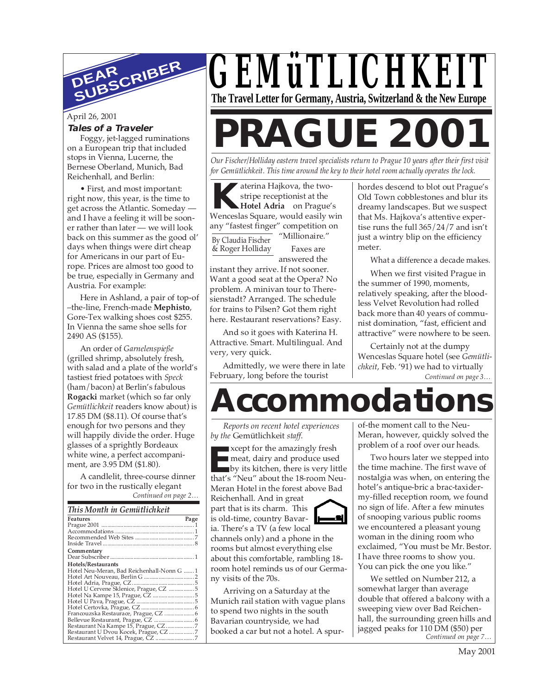

## April 26, 2001

#### **Tales of a Traveler**

Foggy, jet-lagged ruminations on a European trip that included stops in Vienna, Lucerne, the Bernese Oberland, Munich, Bad Reichenhall, and Berlin:

• First, and most important: right now, this year, is the time to get across the Atlantic. Someday and I have a feeling it will be sooner rather than later — we will look back on this summer as the good ol' days when things were dirt cheap for Americans in our part of Europe. Prices are almost too good to be true, especially in Germany and Austria. For example:

Here in Ashland, a pair of top-of –the-line, French-made **Mephisto**, Gore-Tex walking shoes cost \$255. In Vienna the same shoe sells for 2490 AS (\$155).

An order of *Garnelenspieße* (grilled shrimp, absolutely fresh, with salad and a plate of the world's tastiest fried potatoes with *Speck* (ham/bacon) at Berlin's fabulous **Rogacki** market (which so far only *Gemütlichkeit* readers know about) is 17.85 DM (\$8.11). Of course that's enough for two persons and they will happily divide the order. Huge glasses of a sprightly Bordeaux white wine, a perfect accompaniment, are 3.95 DM (\$1.80).

*Continued on page 2…* A candlelit, three-course dinner for two in the rustically elegant

|                             | Communeu on page 2 |
|-----------------------------|--------------------|
|                             |                    |
| This Month in Gemütlichkeit |                    |

| This mollin in Ochinicalinen               |      |
|--------------------------------------------|------|
| Features                                   | Page |
|                                            |      |
|                                            |      |
|                                            |      |
|                                            |      |
| Commentary                                 |      |
|                                            |      |
| Hotels/Restaurants                         |      |
| Hotel Neu-Meran, Bad Reichenhall-Nonn G  1 |      |
|                                            |      |
|                                            |      |
| Hotel U Cervene Sklenice, Prague, CZ  5    |      |
|                                            |      |
|                                            |      |
|                                            |      |
|                                            |      |
|                                            |      |
|                                            |      |
| Restaurant U Dvou Kocek, Prague, CZ7       |      |
|                                            |      |



# **PRAGUE 2001**

*Our Fischer/Holliday eastern travel specialists return to Prague 10 years after their first visit for Gemütlichkeit. This time around the key to their hotel room actually operates the lock.*

**K** Wenceslas Square, would easily win aterina Hajkova, the twostripe receptionist at the **Hotel Adria** on Prague's any "fastest finger" competition on

By Claudia Fischer & Roger Holliday

"Millionaire." Faxes are answered the

instant they arrive. If not sooner. Want a good seat at the Opera? No problem. A minivan tour to Theresienstadt? Arranged. The schedule for trains to Pilsen? Got them right here. Restaurant reservations? Easy.

And so it goes with Katerina H. Attractive. Smart. Multilingual. And very, very quick.

Admittedly, we were there in late February, long before the tourist

hordes descend to blot out Prague's Old Town cobblestones and blur its dreamy landscapes. But we suspect that Ms. Hajkova's attentive expertise runs the full 365/24/7 and isn't just a wintry blip on the efficiency meter.

What a difference a decade makes.

When we first visited Prague in the summer of 1990, moments, relatively speaking, after the bloodless Velvet Revolution had rolled back more than 40 years of communist domination, "fast, efficient and attractive" were nowhere to be seen.

*Continued on page 3…* Certainly not at the dumpy Wenceslas Square hotel (see *Gemütlichkeit*, Feb. '91) we had to virtually

## **Accommodations**

-2

*Reports on recent hotel experiences by the* Gemütlichkeit *staff.*

**EXECUTE SERVIET SERVIET SERVIET SERVIET SERVIET SERVIET SERVIET SERVIET SERVIET SERVIET SERVIET SERVIET SERVIET SERVIET SERVIET SERVIET SERVIET SERVIET SERVIET SERVIET SERVIET SERVIET SERVIET SERVIET SERVIET SERVIET SERVI** xcept for the amazingly fresh meat, dairy and produce used by its kitchen, there is very little Meran Hotel in the forest above Bad Reichenhall. And in great

part that is its charm. This is old-time, country Bavaria. There's a TV (a few local

channels only) and a phone in the rooms but almost everything else about this comfortable, rambling 18 room hotel reminds us of our Germany visits of the 70s.

Arriving on a Saturday at the Munich rail station with vague plans to spend two nights in the south Bavarian countryside, we had booked a car but not a hotel. A spurof-the moment call to the Neu-Meran, however, quickly solved the problem of a roof over our heads.

Two hours later we stepped into the time machine. The first wave of nostalgia was when, on entering the hotel's antique-bric a brac-taxidermy-filled reception room, we found no sign of life. After a few minutes of snooping various public rooms we encountered a pleasant young woman in the dining room who exclaimed, "You must be Mr. Bestor. I have three rooms to show you. You can pick the one you like."

*Continued on page 7…* We settled on Number 212, a somewhat larger than average double that offered a balcony with a sweeping view over Bad Reichenhall, the surrounding green hills and jagged peaks for 110 DM (\$50) per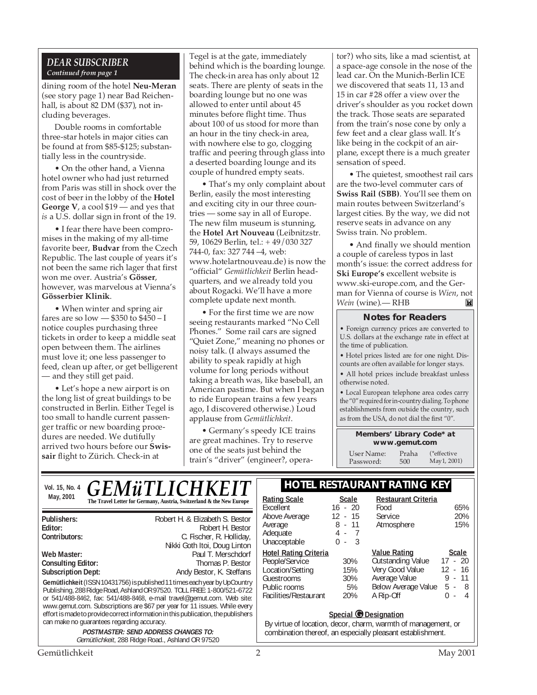## *DEAR SUBSCRIBER Continued from page 1*

dining room of the hotel **Neu-Meran** (see story page 1) near Bad Reichenhall, is about 82 DM (\$37), not including beverages.

Double rooms in comfortable three-star hotels in major cities can be found at from \$85-\$125; substantially less in the countryside.

• On the other hand, a Vienna hotel owner who had just returned from Paris was still in shock over the cost of beer in the lobby of the **Hotel George V**, a cool \$19 — and yes that *is* a U.S. dollar sign in front of the 19.

• I fear there have been compromises in the making of my all-time favorite beer, **Budvar** from the Czech Republic. The last couple of years it's not been the same rich lager that first won me over. Austria's **Gösser**, however, was marvelous at Vienna's **Gösserbier Klinik**.

• When winter and spring air fares are so low  $-$  \$350 to \$450 – I notice couples purchasing three tickets in order to keep a middle seat open between them. The airlines must love it; one less passenger to feed, clean up after, or get belligerent — and they still get paid.

• Let's hope a new airport is on the long list of great buildings to be constructed in Berlin. Either Tegel is too small to handle current passenger traffic or new boarding procedures are needed. We dutifully arrived two hours before our **Swissair** flight to Zürich. Check-in at

Tegel is at the gate, immediately behind which is the boarding lounge. The check-in area has only about 12 seats. There are plenty of seats in the boarding lounge but no one was allowed to enter until about 45 minutes before flight time. Thus about 100 of us stood for more than an hour in the tiny check-in area, with nowhere else to go, clogging traffic and peering through glass into a deserted boarding lounge and its couple of hundred empty seats.

• That's my only complaint about Berlin, easily the most interesting and exciting city in our three countries — some say in all of Europe. The new film museum is stunning, the **Hotel Art Nouveau** (Leibnitzstr. 59, 10629 Berlin, tel.: + 49/030 327 744-0, fax: 327 744 –4, web: www.hotelartnouveau.de) is now the "official" *Gemütlichkeit* Berlin headquarters, and we already told you about Rogacki. We'll have a more complete update next month.

• For the first time we are now seeing restaurants marked "No Cell Phones." Some rail cars are signed "Quiet Zone," meaning no phones or noisy talk. (I always assumed the ability to speak rapidly at high volume for long periods without taking a breath was, like baseball, an American pastime. But when I began to ride European trains a few years ago, I discovered otherwise.) Loud applause from *Gemütlichkeit*.

• Germany's speedy ICE trains are great machines. Try to reserve one of the seats just behind the train's "driver" (engineer?, operator?) who sits, like a mad scientist, at a space-age console in the nose of the lead car. On the Munich-Berlin ICE we discovered that seats 11, 13 and 15 in car #28 offer a view over the driver's shoulder as you rocket down the track. Those seats are separated from the train's nose cone by only a few feet and a clear glass wall. It's like being in the cockpit of an airplane, except there is a much greater sensation of speed.

• The quietest, smoothest rail cars are the two-level commuter cars of **Swiss Rail (SBB)**. You'll see them on main routes between Switzerland's largest cities. By the way, we did not reserve seats in advance on any Swiss train. No problem.

• And finally we should mention a couple of careless typos in last month's issue: the correct address for **Ski Europe's** excellent website is www.ski-europe.com, and the German for Vienna of course is *Wien*, not *Wein* (wine).— RHBM

## **Notes for Readers**

• Foreign currency prices are converted to U.S. dollars at the exchange rate in effect at the time of publication.

• Hotel prices listed are for one night. Discounts are often available for longer stays.

• All hotel prices include breakfast unless otherwise noted.

• Local European telephone area codes carry the "0" required for in-country dialing. To phone establishments from outside the country, such as from the USA, do not dial the first "0".

#### **Members' Library Code\* at www.gemut.com**

User Name: Praha<br>Password: 500 Password: (\*effective May1, 2001)

| Vol. 15, No. 4                                                                                                                                                                                                                                                                                                                                                                                                                                                                                                                                                                                                            | <b>GEMÜTLICHKEIT</b>                                                                                                      |                                                                                                                                                      |                                                                                                                         | <b>HOTEL RESTAURANT RATING KEY</b>                                                |          |
|---------------------------------------------------------------------------------------------------------------------------------------------------------------------------------------------------------------------------------------------------------------------------------------------------------------------------------------------------------------------------------------------------------------------------------------------------------------------------------------------------------------------------------------------------------------------------------------------------------------------------|---------------------------------------------------------------------------------------------------------------------------|------------------------------------------------------------------------------------------------------------------------------------------------------|-------------------------------------------------------------------------------------------------------------------------|-----------------------------------------------------------------------------------|----------|
| May, 2001                                                                                                                                                                                                                                                                                                                                                                                                                                                                                                                                                                                                                 | The Travel Letter for Germany, Austria, Switzerland & the New Europe                                                      | <b>Rating Scale</b><br>Excellent                                                                                                                     | <b>Scale</b><br>$16 - 20$                                                                                               | <b>Restaurant Criteria</b><br>Food                                                | 65%      |
| Robert H. & Elizabeth S. Bestor<br>Publishers:<br>Editor:<br>Robert H. Bestor<br>Contributors:<br>C. Fischer, R. Holliday,<br>Nikki Goth Itoi, Doug Linton<br>Paul T. Merschdorf<br>Web Master:<br><b>Consulting Editor:</b><br>Thomas P. Bestor<br><b>Subscription Dept:</b><br>Andy Bestor, K. Steffans<br>Gemütlichkeit (ISSN 10431756) is published 11 times each year by UpCountry<br>Publishing, 288 Ridge Road, Ashland OR 97520. TOLL FREE: 1-800/521-6722<br>or 541/488-8462, fax: 541/488-8468, e-mail travel@gemut.com. Web site:<br>www.gemut.com. Subscriptions are \$67 per year for 11 issues. While every | Above Average<br>Average<br>Adequate<br>Unacceptable                                                                      | $12 - 15$<br>$8 - 11$<br>-3<br>0<br>÷.                                                                                                               | Service<br>Atmosphere                                                                                                   | 20%<br>15%                                                                        |          |
|                                                                                                                                                                                                                                                                                                                                                                                                                                                                                                                                                                                                                           | <b>Hotel Rating Criteria</b><br>People/Service<br>Location/Setting<br>Guestrooms<br>Public rooms<br>Facilities/Restaurant | 30%<br>15%<br>30%<br>5%<br>20%                                                                                                                       | <b>Value Rating</b><br><b>Outstanding Value</b><br>Very Good Value<br>Average Value<br>Below Average Value<br>A Rip-Off | <b>Scale</b><br>$17 - 20$<br>$12 - 16$<br>11<br>9.<br>$5 - 8$<br>0<br>4<br>$\sim$ |          |
| effort is made to provide correct information in this publication, the publishers<br>can make no quarantees regarding accuracy.<br><b>POSTMASTER: SEND ADDRESS CHANGES TO:</b><br>Gemütlichkeit, 288 Ridge Road., Ashland OR 97520                                                                                                                                                                                                                                                                                                                                                                                        |                                                                                                                           | Special @ Designation<br>By virtue of location, decor, charm, warmth of management, or<br>combination thereof, an especially pleasant establishment. |                                                                                                                         |                                                                                   |          |
| Gemütlichkeit                                                                                                                                                                                                                                                                                                                                                                                                                                                                                                                                                                                                             |                                                                                                                           |                                                                                                                                                      |                                                                                                                         |                                                                                   | Mav 2001 |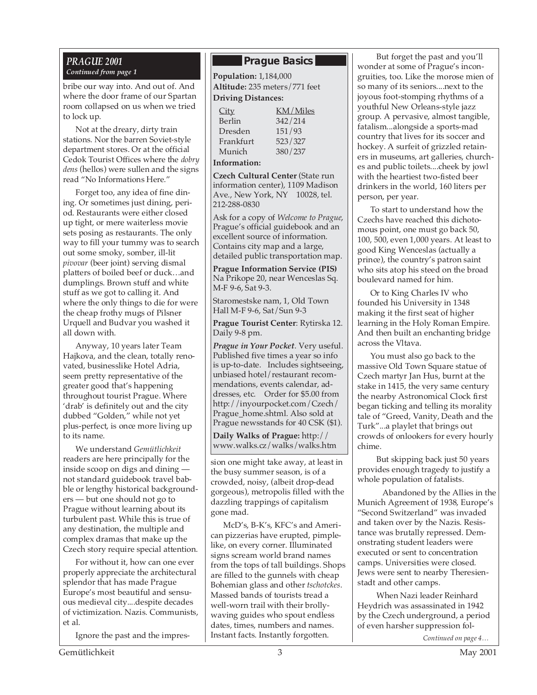## *PRAGUE 2001*

bribe our way into. And out of. And where the door frame of our Spartan room collapsed on us when we tried to lock up.

Not at the dreary, dirty train stations. Nor the barren Soviet-style department stores. Or at the official Cedok Tourist Offices where the *dobry dens* (hellos) were sullen and the signs read "No Informations Here."

Forget too, any idea of fine dining. Or sometimes just dining, period. Restaurants were either closed up tight, or mere waiterless movie sets posing as restaurants. The only way to fill your tummy was to search out some smoky, somber, ill-lit *pivovar* (beer joint) serving dismal platters of boiled beef or duck…and dumplings. Brown stuff and white stuff as we got to calling it. And where the only things to die for were the cheap frothy mugs of Pilsner Urquell and Budvar you washed it all down with.

Anyway, 10 years later Team Hajkova, and the clean, totally renovated, businesslike Hotel Adria, seem pretty representative of the greater good that's happening throughout tourist Prague. Where 'drab' is definitely out and the city dubbed "Golden," while not yet plus-perfect, is once more living up to its name.

We understand *Gemütlichkeit* readers are here principally for the inside scoop on digs and dining not standard guidebook travel babble or lengthy historical backgrounders — but one should not go to Prague without learning about its turbulent past. While this is true of any destination, the multiple and complex dramas that make up the Czech story require special attention.

For without it, how can one ever properly appreciate the architectural splendor that has made Prague Europe's most beautiful and sensuous medieval city....despite decades of victimization. Nazis. Communists, et al.

Ignore the past and the impres-

## **Prague Basics**

*Continued from page 1* **Population:** 1,184,000 **Altitude:** 235 meters/771 feet **Driving Distances:**

| City      | KM/Miles |
|-----------|----------|
| Berlin    | 342/214  |
| Dresden   | 151/93   |
| Frankfurt | 523/327  |
| Munich    | 380/237  |
|           |          |

**Information:**

**Czech Cultural Center** (State run information center), 1109 Madison Ave., New York, NY 10028, tel. 212-288-0830

Ask for a copy of *Welcome to Prague*, Prague's official guidebook and an excellent source of information. Contains city map and a large, detailed public transportation map.

**Prague Information Service (PIS)** Na Prikope 20, near Wenceslas Sq. M-F 9-6, Sat 9-3.

Staromestske nam, 1, Old Town Hall M-F 9-6, Sat/Sun 9-3

**Prague Tourist Center**: Rytirska 12. Daily 9-8 pm.

*Prague in Your Pocket*. Very useful. Published five times a year so info is up-to-date. Includes sightseeing, unbiased hotel/restaurant recommendations, events calendar, addresses, etc. Order for \$5.00 from http://inyourpocket.com/Czech/ Prague\_home.shtml. Also sold at Prague newsstands for 40 CSK (\$1).

**Daily Walks of Prague:** http:// www.walks.cz/walks/walks.htm

sion one might take away, at least in the busy summer season, is of a crowded, noisy, (albeit drop-dead gorgeous), metropolis filled with the dazzling trappings of capitalism gone mad.

McD's, B-K's, KFC's and American pizzerias have erupted, pimplelike, on every corner. Illuminated signs scream world brand names from the tops of tall buildings. Shops are filled to the gunnels with cheap Bohemian glass and other *tschotckes*. Massed bands of tourists tread a well-worn trail with their brollywaving guides who spout endless dates, times, numbers and names. Instant facts. Instantly forgotten.

But forget the past and you'll wonder at some of Prague's incongruities, too. Like the morose mien of so many of its seniors....next to the joyous foot-stomping rhythms of a youthful New Orleans-style jazz group. A pervasive, almost tangible, fatalism...alongside a sports-mad country that lives for its soccer and hockey. A surfeit of grizzled retainers in museums, art galleries, churches and public toilets....cheek by jowl with the heartiest two-fisted beer drinkers in the world, 160 liters per person, per year.

To start to understand how the Czechs have reached this dichotomous point, one must go back 50, 100, 500, even 1,000 years. At least to good King Wenceslas (actually a prince), the country's patron saint who sits atop his steed on the broad boulevard named for him.

Or to King Charles IV who founded his University in 1348 making it the first seat of higher learning in the Holy Roman Empire. And then built an enchanting bridge across the Vltava.

You must also go back to the massive Old Town Square statue of Czech martyr Jan Hus, burnt at the stake in 1415, the very same century the nearby Astronomical Clock first began ticking and telling its morality tale of "Greed, Vanity, Death and the Turk"...a playlet that brings out crowds of onlookers for every hourly chime.

But skipping back just 50 years provides enough tragedy to justify a whole population of fatalists.

Abandoned by the Allies in the Munich Agreement of 1938, Europe's "Second Switzerland" was invaded and taken over by the Nazis. Resistance was brutally repressed. Demonstrating student leaders were executed or sent to concentration camps. Universities were closed. Jews were sent to nearby Theresienstadt and other camps.

When Nazi leader Reinhard Heydrich was assassinated in 1942 by the Czech underground, a period of even harsher suppression fol-

*Continued on page 4…*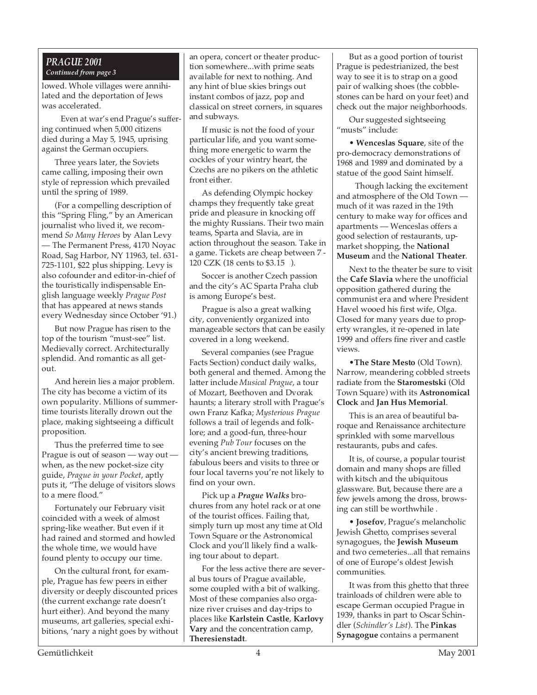## *PRAGUE 2001 Continued from page 3*

lowed. Whole villages were annihilated and the deportation of Jews was accelerated.

Even at war's end Prague's suffering continued when 5,000 citizens died during a May 5, 1945, uprising against the German occupiers.

Three years later, the Soviets came calling, imposing their own style of repression which prevailed until the spring of 1989.

(For a compelling description of this "Spring Fling," by an American journalist who lived it, we recommend *So Many Heroes* by Alan Levy — The Permanent Press, 4170 Noyac Road, Sag Harbor, NY 11963, tel. 631- 725-1101, \$22 plus shipping. Levy is also cofounder and editor-in-chief of the touristically indispensable English language weekly *Prague Post* that has appeared at news stands every Wednesday since October '91.)

But now Prague has risen to the top of the tourism "must-see" list. Medievally correct. Architecturally splendid. And romantic as all getout.

And herein lies a major problem. The city has become a victim of its own popularity. Millions of summertime tourists literally drown out the place, making sightseeing a difficult proposition.

Thus the preferred time to see Prague is out of season — way out when, as the new pocket-size city guide, *Prague in your Pocket*, aptly puts it, "The deluge of visitors slows to a mere flood."

Fortunately our February visit coincided with a week of almost spring-like weather. But even if it had rained and stormed and howled the whole time, we would have found plenty to occupy our time.

On the cultural front, for example, Prague has few peers in either diversity or deeply discounted prices (the current exchange rate doesn't hurt either). And beyond the many museums, art galleries, special exhibitions, 'nary a night goes by without an opera, concert or theater production somewhere...with prime seats available for next to nothing. And any hint of blue skies brings out instant combos of jazz, pop and classical on street corners, in squares and subways.

If music is not the food of your particular life, and you want something more energetic to warm the cockles of your wintry heart, the Czechs are no pikers on the athletic front either.

As defending Olympic hockey champs they frequently take great pride and pleasure in knocking off the mighty Russians. Their two main teams, Sparta and Slavia, are in action throughout the season. Take in a game. Tickets are cheap between 7 - 120 CZK (18 cents to \$3.15 ).

Soccer is another Czech passion and the city's AC Sparta Praha club is among Europe's best.

Prague is also a great walking city, conveniently organized into manageable sectors that can be easily covered in a long weekend.

Several companies (see Prague Facts Section) conduct daily walks, both general and themed. Among the latter include *Musical Prague*, a tour of Mozart, Beethoven and Dvorak haunts; a literary stroll with Prague's own Franz Kafka; *Mysterious Prague* follows a trail of legends and folklore; and a good-fun, three-hour evening *Pub Tour* focuses on the city's ancient brewing traditions, fabulous beers and visits to three or four local taverns you're not likely to find on your own.

Pick up a *Prague Walks* brochures from any hotel rack or at one of the tourist offices. Failing that, simply turn up most any time at Old Town Square or the Astronomical Clock and you'll likely find a walking tour about to depart.

For the less active there are several bus tours of Prague available, some coupled with a bit of walking. Most of these companies also organize river cruises and day-trips to places like **Karlstein Castle**, **Karlovy Vary** and the concentration camp, **Theresienstadt**.

But as a good portion of tourist Prague is pedestrianized, the best way to see it is to strap on a good pair of walking shoes (the cobblestones can be hard on your feet) and check out the major neighborhoods.

Our suggested sightseeing "musts" include:

• **Wenceslas Square**, site of the pro-democracy demonstrations of 1968 and 1989 and dominated by a statue of the good Saint himself.

Though lacking the excitement and atmosphere of the Old Town much of it was razed in the 19th century to make way for offices and apartments — Wenceslas offers a good selection of restaurants, upmarket shopping, the **National Museum** and the **National Theater**.

Next to the theater be sure to visit the **Cafe Slavia** where the unofficial opposition gathered during the communist era and where President Havel wooed his first wife, Olga. Closed for many years due to property wrangles, it re-opened in late 1999 and offers fine river and castle views.

•**The Stare Mesto** (Old Town). Narrow, meandering cobbled streets radiate from the **Staromestski** (Old Town Square) with its **Astronomical Clock** and **Jan Hus Memorial**.

This is an area of beautiful baroque and Renaissance architecture sprinkled with some marvellous restaurants, pubs and cafes.

It is, of course, a popular tourist domain and many shops are filled with kitsch and the ubiquitous glassware. But, because there are a few jewels among the dross, browsing can still be worthwhile .

• **Josefov**, Prague's melancholic Jewish Ghetto, comprises several synagogues, the **Jewish Museum** and two cemeteries...all that remains of one of Europe's oldest Jewish communities.

It was from this ghetto that three trainloads of children were able to escape German occupied Prague in 1939, thanks in part to Oscar Schindler (*Schindler's List*). The **Pinkas Synagogue** contains a permanent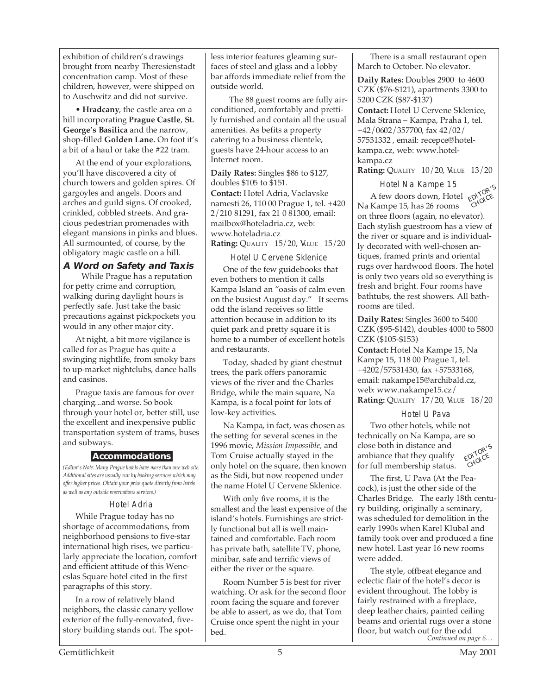exhibition of children's drawings brought from nearby Theresienstadt concentration camp. Most of these children, however, were shipped on to Auschwitz and did not survive.

• **Hradcany**, the castle area on a hill incorporating **Prague Castle**, **St. George's Basilica** and the narrow, shop-filled **Golden Lane.** On foot it's a bit of a haul or take the #22 tram.

At the end of your explorations, you'll have discovered a city of church towers and golden spires. Of gargoyles and angels. Doors and arches and guild signs. Of crooked, crinkled, cobbled streets. And gracious pedestrian promenades with elegant mansions in pinks and blues. All surmounted, of course, by the obligatory magic castle on a hill.

## **A Word on Safety and Taxis**

While Prague has a reputation for petty crime and corruption, walking during daylight hours is perfectly safe. Just take the basic precautions against pickpockets you would in any other major city.

At night, a bit more vigilance is called for as Prague has quite a swinging nightlife, from smoky bars to up-market nightclubs, dance halls and casinos.

Prague taxis are famous for over charging...and worse. So book through your hotel or, better still, use the excellent and inexpensive public transportation system of trams, buses and subways.

## **Accommodations**

*(Editor's Note: Many Prague hotels have more than one web site. Additional sites are usually run by booking services which may offer higher prices. Obtain your price quote directly from hotels as well as any outside reservations services.)*

## Hotel Adria

While Prague today has no shortage of accommodations, from neighborhood pensions to five-star international high rises, we particularly appreciate the location, comfort and efficient attitude of this Wenceslas Square hotel cited in the first paragraphs of this story.

In a row of relatively bland neighbors, the classic canary yellow exterior of the fully-renovated, fivestory building stands out. The spotless interior features gleaming surfaces of steel and glass and a lobby bar affords immediate relief from the outside world.

The 88 guest rooms are fully airconditioned, comfortably and prettily furnished and contain all the usual amenities. As befits a property catering to a business clientele, guests have 24-hour access to an Internet room.

**Daily Rates:** Singles \$86 to \$127, doubles \$105 to \$151.

**Contact:** Hotel Adria, Vaclavske namesti 26, 110 00 Prague 1, tel. +420 2/210 81291, fax 21 0 81300, email: mailbox@hoteladria.cz, web: www.hoteladria.cz **Rating: QUALITY 15/20, VALUE 15/20** 

## Hotel U Cervene Sklenice

One of the few guidebooks that even bothers to mention it calls Kampa Island an "oasis of calm even on the busiest August day." It seems odd the island receives so little attention because in addition to its quiet park and pretty square it is home to a number of excellent hotels and restaurants.

Today, shaded by giant chestnut trees, the park offers panoramic views of the river and the Charles Bridge, while the main square, Na Kampa, is a focal point for lots of low-key activities.

Na Kampa, in fact, was chosen as the setting for several scenes in the 1996 movie, *Mission Impossible,* and Tom Cruise actually stayed in the only hotel on the square, then known as the Sidi, but now reopened under the name Hotel U Cervene Sklenice.

With only five rooms, it is the smallest and the least expensive of the island's hotels. Furnishings are strictly functional but all is well maintained and comfortable. Each room has private bath, satellite TV, phone, minibar, safe and terrific views of either the river or the square.

Room Number 5 is best for river watching. Or ask for the second floor room facing the square and forever be able to assert, as we do, that Tom Cruise once spent the night in your bed.

There is a small restaurant open March to October. No elevator.

**Daily Rates:** Doubles 2900 to 4600 CZK (\$76-\$121), apartments 3300 to 5200 CZK (\$87-\$137) **Contact:** Hotel U Cervene Sklenice,

Mala Strana – Kampa, Praha 1, tel. +42/0602/357700, fax 42/02/ 57531332 , email: recepce@hotelkampa.cz, web: www.hotelkampa.cz

**Rating: QUALITY 10/20, VALUE 13/20** 

Hotel Na Kampe 15



Tioner iversample<br>A few doors down, Hotel<br>Kampe 15 has 26 rooms Na Kampe 15, has 26 rooms on three floors (again, no elevator). Each stylish guestroom has a view of the river or square and is individually decorated with well-chosen antiques, framed prints and oriental rugs over hardwood floors. The hotel is only two years old so everything is fresh and bright. Four rooms have bathtubs, the rest showers. All bathrooms are tiled.

**Daily Rates:** Singles 3600 to 5400 CZK (\$95-\$142), doubles 4000 to 5800 CZK (\$105-\$153)

**Contact:** Hotel Na Kampe 15, Na Kampe 15, 118 00 Prague 1, tel. +4202/57531430, fax +57533168, email: nakampe15@archibald.cz, web: www.nakampe15.cz/ **Rating: QUALITY 17/20, VALUE 18/20** 

## Hotel U Pava

Two other hotels, while not technically on Na Kampa, are so close both in distance and ambiance that they qualify for full membership status. EDITOR'<sup>S</sup> CHOICE

The first, U Pava (At the Peacock), is just the other side of the Charles Bridge. The early 18th century building, originally a seminary, was scheduled for demolition in the early 1990s when Karel Klubal and family took over and produced a fine new hotel. Last year 16 new rooms were added.

*Continued on page 6…* The style, offbeat elegance and eclectic flair of the hotel's decor is evident throughout. The lobby is fairly restrained with a fireplace, deep leather chairs, painted ceiling beams and oriental rugs over a stone floor, but watch out for the odd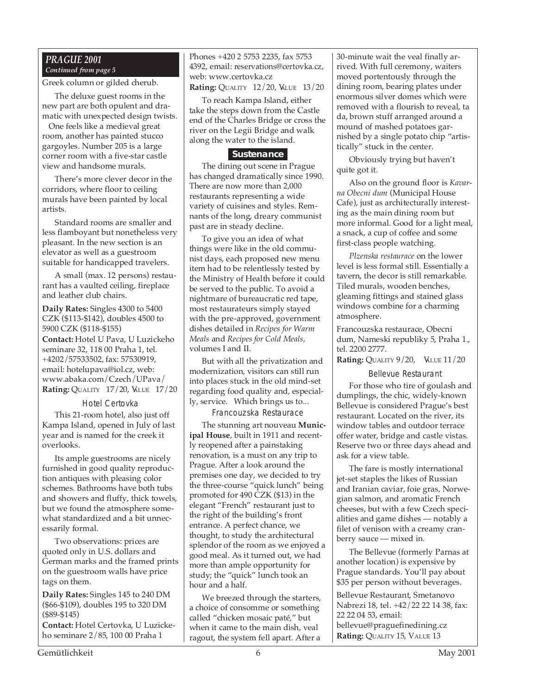## *PRAGUE 2001 Continued from page 5*

Greek column or gilded cherub.

The deluxe guest rooms in the new part are both opulent and dramatic with unexpected design twists.

One feels like a medieval great room, another has painted stucco gargoyles. Number 205 is a large corner room with a five-star castle view and handsome murals.

There's more clever decor in the corridors, where floor to ceiling murals have been painted by local artists.

Standard rooms are smaller and less flamboyant but nonetheless very pleasant. In the new section is an elevator as well as a guestroom suitable for handicapped travelers.

A small (max. 12 persons) restaurant has a vaulted ceiling, fireplace and leather club chairs.

**Daily Rates:** Singles 4300 to 5400 CZK (\$113-\$142), doubles 4500 to 5900 CZK (\$118-\$155) **Contact:** Hotel U Pava, U Luzickeho seminare 32, 118 00 Praha 1, tel. +4202/57533502, fax: 57530919, email: hotelupava@iol.cz, web: www.abaka.com/Czech/UPava/ **Rating: QUALITY 17/20, VALUE 17/20** 

#### Hotel Certovka

This 21-room hotel, also just off Kampa Island, opened in July of last year and is named for the creek it overlooks.

Its ample guestrooms are nicely furnished in good quality reproduction antiques with pleasing color schemes. Bathrooms have both tubs and showers and fluffy, thick towels, but we found the atmosphere somewhat standardized and a bit unnecessarily formal.

Two observations: prices are quoted only in U.S. dollars and German marks and the framed prints on the guestroom walls have price tags on them.

**Daily Rates:** Singles 145 to 240 DM (\$66-\$109), doubles 195 to 320 DM (\$89-\$145) **Contact:** Hotel Certovka, U Luzicke-

ho seminare 2/85, 100 00 Praha 1

Phones +420 2 5753 2235, fax 5753 4392, email: reservations@certovka.cz, web: www.certovka.cz **Rating: QUALITY 12/20, VALUE 13/20** 

To reach Kampa Island, either take the steps down from the Castle end of the Charles Bridge or cross the river on the Legii Bridge and walk along the water to the island.

## **Sustenance**

The dining out scene in Prague has changed dramatically since 1990. There are now more than 2,000 restaurants representing a wide variety of cuisines and styles. Remnants of the long, dreary communist past are in steady decline.

To give you an idea of what things were like in the old communist days, each proposed new menu item had to be relentlessly tested by the Ministry of Health before it could be served to the public. To avoid a nightmare of bureaucratic red tape, most restaurateurs simply stayed with the pre-approved, government dishes detailed in *Recipes for Warm Meals* and *Recipes for Cold Meals,* volumes I and II.

But with all the privatization and modernization, visitors can still run into places stuck in the old mind-set regarding food quality and, especially, service. Which brings us to...

Francouzska Restaurace

The stunning art nouveau **Municipal House**, built in 1911 and recently reopened after a painstaking renovation, is a must on any trip to Prague. After a look around the premises one day, we decided to try the three-course "quick lunch" being promoted for 490 CZK (\$13) in the elegant "French" restaurant just to the right of the building's front entrance. A perfect chance, we thought, to study the architectural splendor of the room as we enjoyed a good meal. As it turned out, we had more than ample opportunity for study; the "quick" lunch took an hour and a half.

We breezed through the starters, a choice of consomme or something called "chicken mosaic paté," but when it came to the main dish, veal ragout, the system fell apart. After a

30-minute wait the veal finally arrived. With full ceremony, waiters moved portentously through the dining room, bearing plates under enormous silver domes which were removed with a flourish to reveal, ta da, brown stuff arranged around a mound of mashed potatoes garnished by a single potato chip "artistically" stuck in the center.

Obviously trying but haven't quite got it.

Also on the ground floor is *Kavarna Obecni dum* (Municipal House Cafe), just as architecturally interesting as the main dining room but more informal. Good for a light meal, a snack, a cup of coffee and some first-class people watching.

*Plzenska restaurace* on the lower level is less formal still. Essentially a tavern, the decor is still remarkable. Tiled murals, wooden benches, gleaming fittings and stained glass windows combine for a charming atmosphere.

Francouzska restaurace, Obecni dum, Nameski republiky 5, Praha 1., tel. 2200 2777.

**Rating:** QUALITY 9/20, **VALUE 11/20** 

## Bellevue Restaurant

For those who tire of goulash and dumplings, the chic, widely-known Bellevue is considered Prague's best restaurant. Located on the river, its window tables and outdoor terrace offer water, bridge and castle vistas. Reserve two or three days ahead and ask for a view table.

The fare is mostly international jet-set staples the likes of Russian and Iranian caviar, foie gras, Norwegian salmon, and aromatic French cheeses, but with a few Czech specialities and game dishes — notably a filet of venison with a creamy cranberry sauce — mixed in.

The Bellevue (formerly Parnas at another location) is expensive by Prague standards. You'll pay about \$35 per person without beverages.

Bellevue Restaurant, Smetanovo Nabrezi 18, tel. +42/22 22 14 38, fax: 22 22 04 53, email: bellevue@praguefinedining.cz **Rating: QUALITY 15, VALUE 13**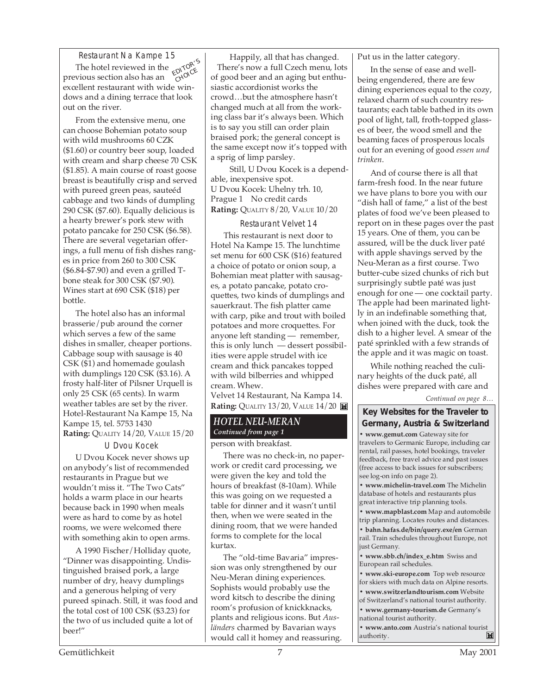Restaurant Na Kampe 15 The hotel reviewed in the The hotel reviewed in the **EDITOR'S**<br>previous section also has an excellent restaurant with wide windows and a dining terrace that look out on the river.

From the extensive menu, one can choose Bohemian potato soup with wild mushrooms 60 CZK (\$1.60) or country beer soup, loaded with cream and sharp cheese 70 CSK (\$1.85). A main course of roast goose breast is beautifully crisp and served with pureed green peas, sauteéd cabbage and two kinds of dumpling 290 CSK (\$7.60). Equally delicious is a hearty brewer's pork stew with potato pancake for 250 CSK (\$6.58). There are several vegetarian offerings, a full menu of fish dishes ranges in price from 260 to 300 CSK (\$6.84-\$7.90) and even a grilled Tbone steak for 300 CSK (\$7.90). Wines start at 690 CSK (\$18) per bottle.

The hotel also has an informal brasserie/pub around the corner which serves a few of the same dishes in smaller, cheaper portions. Cabbage soup with sausage is 40 CSK (\$1) and homemade goulash with dumplings 120 CSK (\$3.16). A frosty half-liter of Pilsner Urquell is only 25 CSK (65 cents). In warm weather tables are set by the river. Hotel-Restaurant Na Kampe 15, Na Kampe 15, tel. 5753 1430 **Rating:** QUALITY 14/20, VALUE 15/20

## U Dvou Kocek

U Dvou Kocek never shows up on anybody's list of recommended restaurants in Prague but we wouldn't miss it. "The Two Cats" holds a warm place in our hearts because back in 1990 when meals were as hard to come by as hotel rooms, we were welcomed there with something akin to open arms.

A 1990 Fischer/Holliday quote, "Dinner was disappointing. Undistinguished braised pork, a large number of dry, heavy dumplings and a generous helping of very pureed spinach. Still, it was food and the total cost of 100 CSK (\$3.23) for the two of us included quite a lot of beer!"

Happily, all that has changed. There's now a full Czech menu, lots of good beer and an aging but enthusiastic accordionist works the crowd…but the atmosphere hasn't changed much at all from the working class bar it's always been. Which is to say you still can order plain braised pork; the general concept is the same except now it's topped with a sprig of limp parsley.

Still, U Dvou Kocek is a dependable, inexpensive spot. U Dvou Kocek: Uhelny trh. 10, Prague 1 No credit cards **Rating:** QUALITY 8/20, VALUE 10/20

Restaurant Velvet 14 This restaurant is next door to Hotel Na Kampe 15. The lunchtime set menu for 600 CSK (\$16) featured a choice of potato or onion soup, a Bohemian meat platter with sausages, a potato pancake, potato croquettes, two kinds of dumplings and sauerkraut. The fish platter came with carp, pike and trout with boiled potatoes and more croquettes. For anyone left standing — remember, this is only lunch — dessert possibilities were apple strudel with ice cream and thick pancakes topped with wild bilberries and whipped cream. Whew.

Velvet 14 Restaurant, Na Kampa 14. **Rating:** QUALITY 13/20, VALUE 14/20

## *HOTEL NEU-MERAN Continued from page 1*

person with breakfast.

There was no check-in, no paperwork or credit card processing, we were given the key and told the hours of breakfast (8-10am). While this was going on we requested a table for dinner and it wasn't until then, when we were seated in the dining room, that we were handed forms to complete for the local kurtax.

The "old-time Bavaria" impression was only strengthened by our Neu-Meran dining experiences. Sophists would probably use the word kitsch to describe the dining room's profusion of knickknacks, plants and religious icons. But *Ausländers* charmed by Bavarian ways would call it homey and reassuring. Put us in the latter category.

In the sense of ease and wellbeing engendered, there are few dining experiences equal to the cozy, relaxed charm of such country restaurants; each table bathed in its own pool of light, tall, froth-topped glasses of beer, the wood smell and the beaming faces of prosperous locals out for an evening of good *essen und trinken*.

And of course there is all that farm-fresh food. In the near future we have plans to bore you with our "dish hall of fame," a list of the best plates of food we've been pleased to report on in these pages over the past 15 years. One of them, you can be assured, will be the duck liver paté with apple shavings served by the Neu-Meran as a first course. Two butter-cube sized chunks of rich but surprisingly subtle paté was just enough for one — one cocktail party. The apple had been marinated lightly in an indefinable something that, when joined with the duck, took the dish to a higher level. A smear of the paté sprinkled with a few strands of the apple and it was magic on toast.

While nothing reached the culinary heights of the duck paté, all dishes were prepared with care and

*Continued on page 8…*

## **Key Websites for the Traveler to Germany, Austria & Switzerland**

**• www.gemut.com** Gateway site for travelers to Germanic Europe, including car rental, rail passes, hotel bookings, traveler feedback, free travel advice and past issues (free access to back issues for subscribers; see log-on info on page 2).

**• www.michelin-travel.com** The Michelin database of hotels and restaurants plus great interactive trip planning tools.

**• www.mapblast.com** Map and automobile trip planning. Locates routes and distances.

**• bahn.hafas.de/bin/query.exe/en** German rail. Train schedules throughout Europe, not just Germany.

**• www.sbb.ch/index\_e.htm** Swiss and European rail schedules.

**• www.ski-europe.com** Top web resource for skiers with much data on Alpine resorts.

**• www.switzerlandtourism.com** Website of Switzerland's national tourist authority.

**• www.germany-tourism.de** Germany's national tourist authority.

**• www.anto.com** Austria's national tourist authority. M